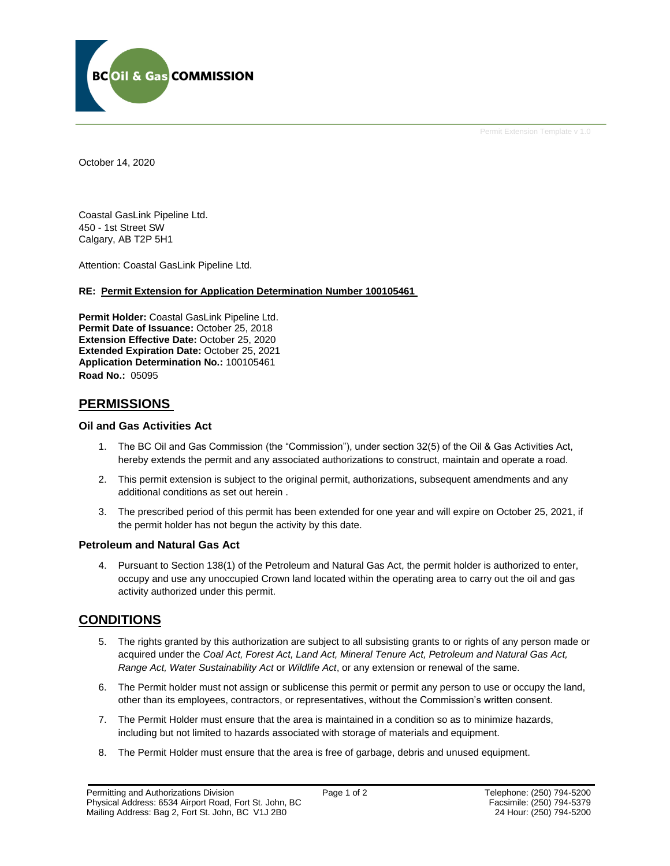

Permit Extension Template v 1.0

October 14, 2020

Coastal GasLink Pipeline Ltd. 450 - 1st Street SW Calgary, AB T2P 5H1

Attention: Coastal GasLink Pipeline Ltd.

#### **RE: Permit Extension for Application Determination Number 100105461**

**Permit Holder:** Coastal GasLink Pipeline Ltd. **Permit Date of Issuance: October 25, 2018 Extension Effective Date:** October 25, 2020 **Extended Expiration Date:** October 25, 2021 **Application Determination No.:** 100105461 **Road No.:** 05095

## **PERMISSIONS**

#### **Oil and Gas Activities Act**

- 1. The BC Oil and Gas Commission (the "Commission"), under section 32(5) of the Oil & Gas Activities Act, hereby extends the permit and any associated authorizations to construct, maintain and operate a road.
- 2. This permit extension is subject to the original permit, authorizations, subsequent amendments and any additional conditions as set out herein .
- 3. The prescribed period of this permit has been extended for one year and will expire on October 25, 2021, if the permit holder has not begun the activity by this date.

#### **Petroleum and Natural Gas Act**

4. Pursuant to Section 138(1) of the Petroleum and Natural Gas Act, the permit holder is authorized to enter, occupy and use any unoccupied Crown land located within the operating area to carry out the oil and gas activity authorized under this permit.

# **CONDITIONS**

- 5. The rights granted by this authorization are subject to all subsisting grants to or rights of any person made or acquired under the *Coal Act, Forest Act, Land Act, Mineral Tenure Act, Petroleum and Natural Gas Act, Range Act, Water Sustainability Act* or *Wildlife Act*, or any extension or renewal of the same.
- 6. The Permit holder must not assign or sublicense this permit or permit any person to use or occupy the land, other than its employees, contractors, or representatives, without the Commission's written consent.
- 7. The Permit Holder must ensure that the area is maintained in a condition so as to minimize hazards, including but not limited to hazards associated with storage of materials and equipment.
- 8. The Permit Holder must ensure that the area is free of garbage, debris and unused equipment.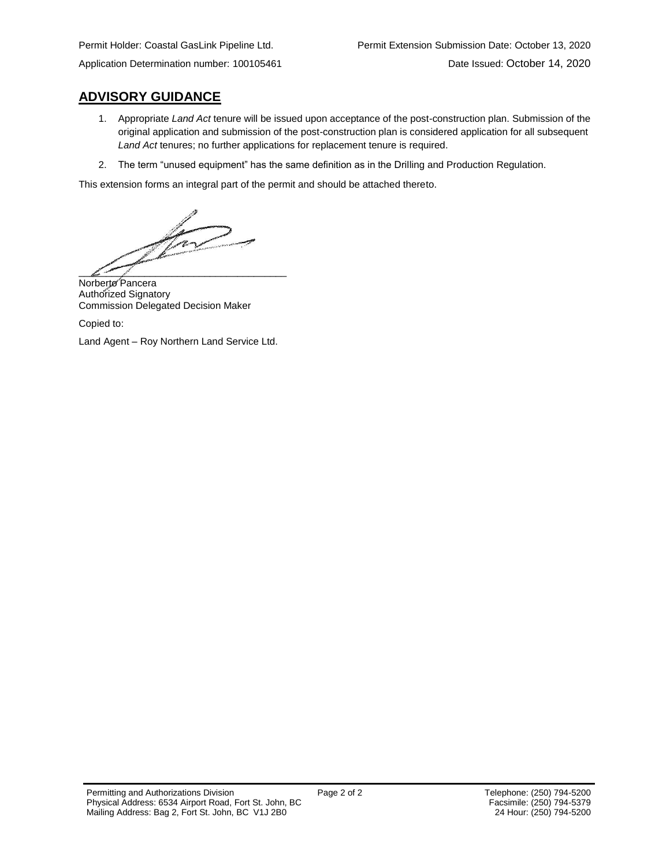# **ADVISORY GUIDANCE**

- 1. Appropriate *Land Act* tenure will be issued upon acceptance of the post-construction plan. Submission of the original application and submission of the post-construction plan is considered application for all subsequent *Land Act* tenures; no further applications for replacement tenure is required.
- 2. The term "unused equipment" has the same definition as in the Drilling and Production Regulation.

This extension forms an integral part of the permit and should be attached thereto.

 $\mathbb{Z}$  $\frac{1}{2}$  ,  $\frac{1}{2}$  ,  $\frac{1}{2}$  ,  $\frac{1}{2}$  ,  $\frac{1}{2}$  ,  $\frac{1}{2}$  ,  $\frac{1}{2}$  ,  $\frac{1}{2}$  ,  $\frac{1}{2}$  ,  $\frac{1}{2}$  ,  $\frac{1}{2}$  ,  $\frac{1}{2}$  ,  $\frac{1}{2}$  ,  $\frac{1}{2}$  ,  $\frac{1}{2}$  ,  $\frac{1}{2}$  ,  $\frac{1}{2}$  ,  $\frac{1}{2}$  ,  $\frac{1$ 

Norberto Pancera Authorized Signatory Commission Delegated Decision Maker

Copied to:

Land Agent – Roy Northern Land Service Ltd.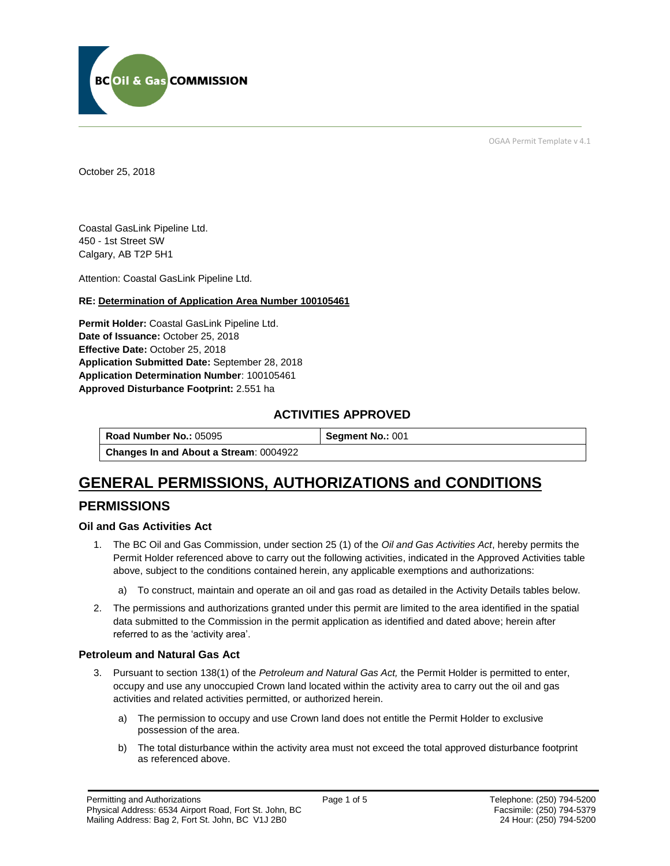

OGAA Permit Template v 4.1

October 25, 2018

Coastal GasLink Pipeline Ltd. 450 - 1st Street SW Calgary, AB T2P 5H1

[Attention:](#page-2-0) Coastal GasLink Pipeline Ltd.

#### **RE: Determination of Application Area Number 100105461**

**[Permit Holder:](#page-2-0)** Coastal GasLink Pipeline Ltd. **[Date of Issuance:](#page-2-0)** October 25, 2018 **[Effective Date:](#page-2-1)** October 25, 2018 **[Application Submitted Date:](#page-2-0)** September 28, 2018 **[Application Determination Number](#page-2-0)**: 100105461 **Approved Disturbance Footprint:** 2.551 ha

# **ACTIVITIES APPROVED**

**[Road Number No.:](#page-2-0) 05095 <b>[Segment No.:](https://bi.bcogc.ca/Application%20Processing/Interactive%20Reports/(BIL-041)%20AMS%20Decision%20Summary.aspx) 001 [Changes In and About a Stream](#page-2-0)**: 0004922

# **GENERAL PERMISSIONS, AUTHORIZATIONS and CONDITIONS**

# **PERMISSIONS**

### **Oil and Gas Activities Act**

- <span id="page-2-0"></span>1. The BC Oil and Gas Commission, under section 25 (1) of the *Oil and Gas Activities Act*, hereby permits the Permit Holder referenced above to carry out the following activities, indicated in the Approved Activities table above, subject to the conditions contained herein, any applicable exemptions and authorizations:
	- a) To construct, maintain and operate an oil and gas road as detailed in the Activity Details tables below.
- <span id="page-2-1"></span>2. The permissions and authorizations granted under this permit are limited to the area identified in the spatial data submitted to the Commission in the permit application as identified and dated above; herein after referred to as the 'activity area'.

#### **Petroleum and Natural Gas Act**

- 3. Pursuant to section 138(1) of the *Petroleum and Natural Gas Act,* the Permit Holder is permitted to enter, occupy and use any unoccupied Crown land located within the activity area to carry out the oil and gas activities and related activities permitted, or authorized herein.
	- a) The permission to occupy and use Crown land does not entitle the Permit Holder to exclusive possession of the area.
	- b) The total disturbance within the activity area must not exceed the total approved disturbance footprint as referenced above.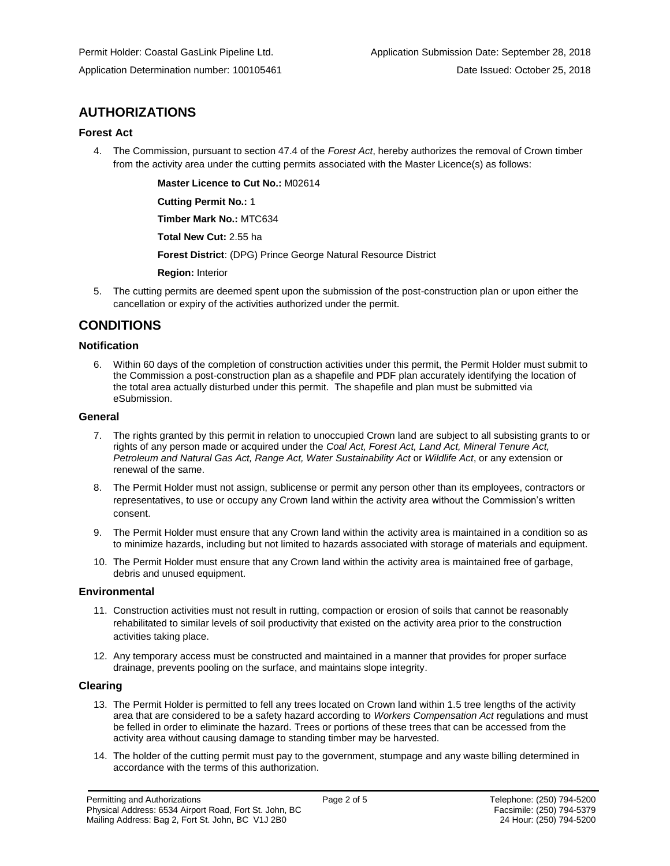# **AUTHORIZATIONS**

#### **Forest Act**

4. The Commission, pursuant to section 47.4 of the *Forest Act*, hereby authorizes the removal of Crown timber from the activity area under the cutting permits associated with the Master Licence(s) as follows:

**[Master Licence to Cut No.:](#page-2-0)** M02614

**[Cutting Permit No.:](#page-2-0)** 1

**[Timber Mark No.:](#page-2-0)** MTC634

**[Total New Cut:](#page-2-0)** 2.55 ha

**[Forest District](https://ams-crd.bcogc.ca/crd/)**: (DPG) Prince George Natural Resource District

**[Region:](#page-2-1)** Interior

5. The cutting permits are deemed spent upon the submission of the post-construction plan or upon either the cancellation or expiry of the activities authorized under the permit.

# **CONDITIONS**

#### **Notification**

6. Within 60 days of the completion of construction activities under this permit, the Permit Holder must submit to the Commission a post-construction plan as a shapefile and PDF plan accurately identifying the location of the total area actually disturbed under this permit. The shapefile and plan must be submitted via eSubmission.

#### **General**

- 7. The rights granted by this permit in relation to unoccupied Crown land are subject to all subsisting grants to or rights of any person made or acquired under the *Coal Act, Forest Act, Land Act, Mineral Tenure Act, Petroleum and Natural Gas Act, Range Act, Water Sustainability Act* or *Wildlife Act*, or any extension or renewal of the same.
- 8. The Permit Holder must not assign, sublicense or permit any person other than its employees, contractors or representatives, to use or occupy any Crown land within the activity area without the Commission's written consent.
- 9. The Permit Holder must ensure that any Crown land within the activity area is maintained in a condition so as to minimize hazards, including but not limited to hazards associated with storage of materials and equipment.
- 10. The Permit Holder must ensure that any Crown land within the activity area is maintained free of garbage, debris and unused equipment.

#### **Environmental**

- 11. Construction activities must not result in rutting, compaction or erosion of soils that cannot be reasonably rehabilitated to similar levels of soil productivity that existed on the activity area prior to the construction activities taking place.
- 12. Any temporary access must be constructed and maintained in a manner that provides for proper surface drainage, prevents pooling on the surface, and maintains slope integrity.

#### **Clearing**

- 13. The Permit Holder is permitted to fell any trees located on Crown land within 1.5 tree lengths of the activity area that are considered to be a safety hazard according to *Workers Compensation Act* regulations and must be felled in order to eliminate the hazard. Trees or portions of these trees that can be accessed from the activity area without causing damage to standing timber may be harvested.
- 14. The holder of the cutting permit must pay to the government, stumpage and any waste billing determined in accordance with the terms of this authorization.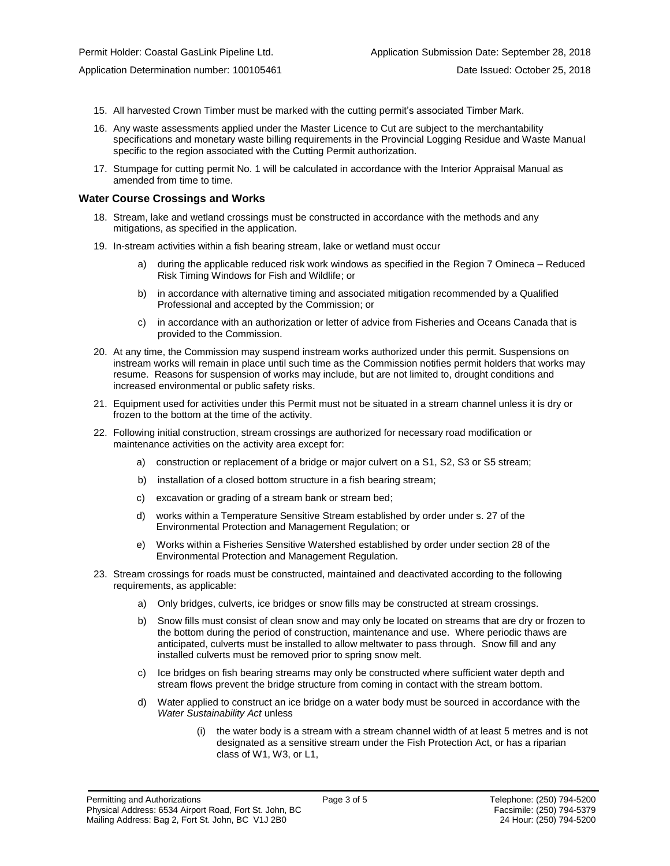- 15. All harvested Crown Timber must be marked with the cutting permit's associated Timber Mark.
- 16. Any waste assessments applied under the Master Licence to Cut are subject to the merchantability specifications and monetary waste billing requirements in the Provincial Logging Residue and Waste Manual specific to the region associated with the Cutting Permit authorization.
- 17. Stumpage for cutting permit No. 1 will be calculated in accordance with the Interior Appraisal Manual as amended from time to time.

#### **Water Course Crossings and Works**

- 18. Stream, lake and wetland crossings must be constructed in accordance with the methods and any mitigations, as specified in the application.
- 19. In-stream activities within a fish bearing stream, lake or wetland must occur
	- a) [during the applicable reduced risk work windows as specified in the](#page-2-0) Region 7 Omineca Reduced Risk Timing Windows for Fish and Wildlife; or
	- b) in accordance with alternative timing and associated mitigation recommended by a Qualified Professional and accepted by the Commission; or
	- c) in accordance with an authorization or letter of advice from Fisheries and Oceans Canada that is provided to the Commission.
- 20. At any time, the Commission may suspend instream works authorized under this permit. Suspensions on instream works will remain in place until such time as the Commission notifies permit holders that works may resume. Reasons for suspension of works may include, but are not limited to, drought conditions and increased environmental or public safety risks.
- 21. Equipment used for activities under this Permit must not be situated in a stream channel unless it is dry or frozen to the bottom at the time of the activity.
- 22. Following initial construction, stream crossings are authorized for necessary road modification or maintenance activities on the activity area except for:
	- a) construction or replacement of a bridge or major culvert on a S1, S2, S3 or S5 stream;
	- b) installation of a closed bottom structure in a fish bearing stream;
	- c) excavation or grading of a stream bank or stream bed;
	- d) works within a Temperature Sensitive Stream established by order under s. 27 of the Environmental Protection and Management Regulation; or
	- e) Works within a Fisheries Sensitive Watershed established by order under section 28 of the Environmental Protection and Management Regulation.
- 23. Stream crossings for roads must be constructed, maintained and deactivated according to the following requirements, as applicable:
	- a) Only bridges, culverts, ice bridges or snow fills may be constructed at stream crossings.
	- b) Snow fills must consist of clean snow and may only be located on streams that are dry or frozen to the bottom during the period of construction, maintenance and use. Where periodic thaws are anticipated, culverts must be installed to allow meltwater to pass through. Snow fill and any installed culverts must be removed prior to spring snow melt.
	- c) Ice bridges on fish bearing streams may only be constructed where sufficient water depth and stream flows prevent the bridge structure from coming in contact with the stream bottom.
	- d) Water applied to construct an ice bridge on a water body must be sourced in accordance with the *Water Sustainability Act* unless
		- (i) the water body is a stream with a stream channel width of at least 5 metres and is not designated as a sensitive stream under the Fish Protection Act, or has a riparian class of W1, W3, or L1,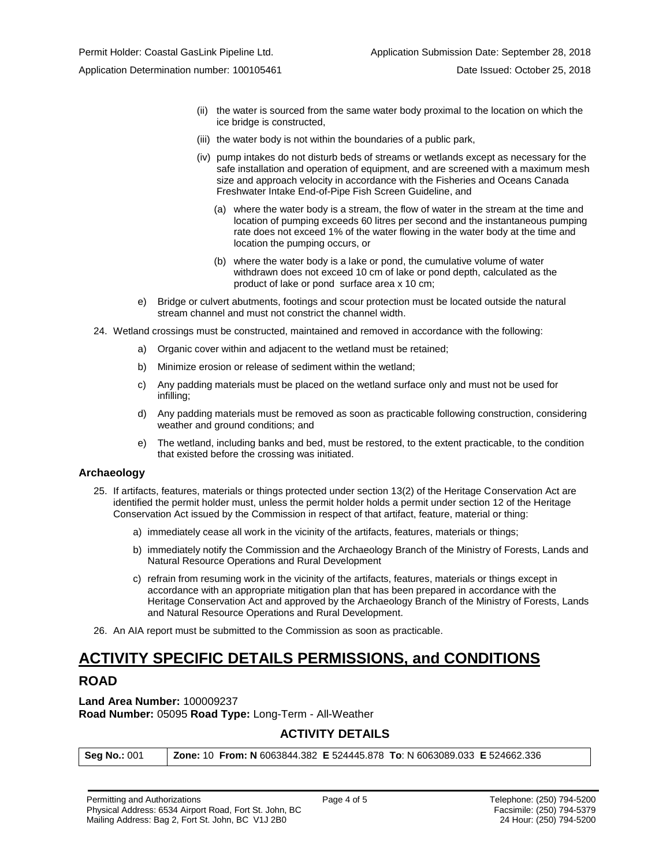- (ii) the water is sourced from the same water body proximal to the location on which the ice bridge is constructed,
- (iii) the water body is not within the boundaries of a public park,
- (iv) pump intakes do not disturb beds of streams or wetlands except as necessary for the safe installation and operation of equipment, and are screened with a maximum mesh size and approach velocity in accordance with the Fisheries and Oceans Canada Freshwater Intake End-of-Pipe Fish Screen Guideline, and
	- (a) where the water body is a stream, the flow of water in the stream at the time and location of pumping exceeds 60 litres per second and the instantaneous pumping rate does not exceed 1% of the water flowing in the water body at the time and location the pumping occurs, or
	- (b) where the water body is a lake or pond, the cumulative volume of water withdrawn does not exceed 10 cm of lake or pond depth, calculated as the product of lake or pond surface area x 10 cm;
- e) Bridge or culvert abutments, footings and scour protection must be located outside the natural stream channel and must not constrict the channel width.
- 24. Wetland crossings must be constructed, maintained and removed in accordance with the following:
	- a) Organic cover within and adjacent to the wetland must be retained;
	- b) Minimize erosion or release of sediment within the wetland;
	- c) Any padding materials must be placed on the wetland surface only and must not be used for infilling;
	- d) Any padding materials must be removed as soon as practicable following construction, considering weather and ground conditions; and
	- e) The wetland, including banks and bed, must be restored, to the extent practicable, to the condition that existed before the crossing was initiated.

#### **Archaeology**

- 25. If artifacts, features, materials or things protected under section 13(2) of the Heritage Conservation Act are identified the permit holder must, unless the permit holder holds a permit under section 12 of the Heritage Conservation Act issued by the Commission in respect of that artifact, feature, material or thing:
	- a) immediately cease all work in the vicinity of the artifacts, features, materials or things;
	- b) immediately notify the Commission and the Archaeology Branch of the Ministry of Forests, Lands and Natural Resource Operations and Rural Development
	- c) refrain from resuming work in the vicinity of the artifacts, features, materials or things except in accordance with an appropriate mitigation plan that has been prepared in accordance with the Heritage Conservation Act and approved by the Archaeology Branch of the Ministry of Forests, Lands and Natural Resource Operations and Rural Development.
- 26. An AIA report must be submitted to the Commission as soon as practicable.

# **ACTIVITY SPECIFIC DETAILS PERMISSIONS, and CONDITIONS**

# **ROAD**

**Land Area Number:** 100009237 **Road Number:** 05095 **Road Type:** Long-Term - All-Weather

### **ACTIVITY DETAILS**

| Seg No.: 001 | <b>Zone: 10 From: N</b> 6063844.382 E 524445.878 To: N 6063089.033 E 524662.336 |
|--------------|---------------------------------------------------------------------------------|
|--------------|---------------------------------------------------------------------------------|